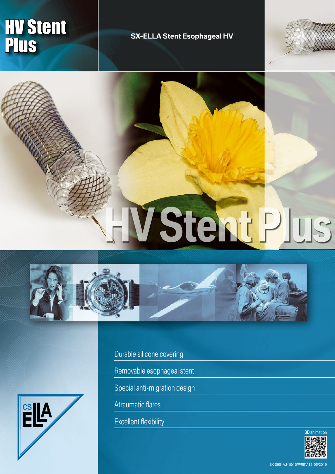# **HV Stent PIUS** SX-ELLA Stent Esophageal HV











Durable silicone covering

Removable esophageal stent

Special anti-migration design

Atraumatic flares

Excellent flexibility